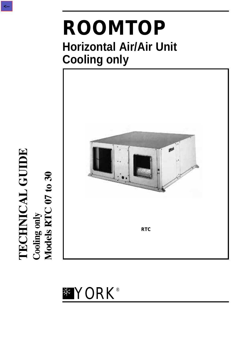# **ROOMTOP Horizontal Air/Air Unit Cooling only**





TECHNICAL GUIDE<br>Cooling only<br>Models RTC 07 to 30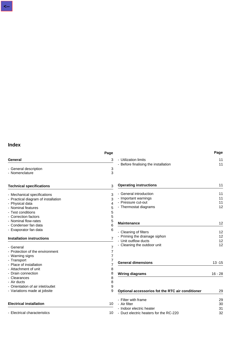|                                     | Page           |                                                        | Page      |
|-------------------------------------|----------------|--------------------------------------------------------|-----------|
| General                             | 3              | - Utilization limits                                   | 11        |
|                                     |                | - Before finalising the installation                   | 11        |
| - General description               | 3              |                                                        |           |
| - Nomenclature                      | 3              |                                                        |           |
| <b>Technical specifications</b>     | 3              | <b>Operating instructions</b>                          | 11        |
| - Mechanical specifications         | 3              | - General introduction                                 | 11        |
| - Practical diagram of installation | 3              | - Important warnings                                   | 11        |
| - Physical data                     | 4              | - Pressure cut-out                                     | 11        |
| - Nominal features                  | 5              | - Thermostat diagrams                                  | 12        |
| - Test conditions                   | 5              |                                                        |           |
| - Correction factors                | 5              |                                                        |           |
| - Nominal flow-rates                | 5              |                                                        |           |
| - Condenser fan data                | 6              | <b>Maintenance</b>                                     | 12        |
| - Evaporator fan data               | 6              |                                                        |           |
|                                     |                | - Cleaning of filters<br>- Priming the drainage siphon | 12<br>12  |
| <b>Installation instructions</b>    | 7              | - Unit outflow ducts                                   | 12        |
|                                     |                | - Cleaning the outdoor unit                            | 12        |
| - General                           | $\overline{7}$ |                                                        |           |
| - Protection of the environment     | 7              |                                                        |           |
| - Warning signs                     | 7              |                                                        |           |
| - Transport                         | 7              | <b>General dimensions</b>                              | $13 - 15$ |
| - Place of installation             | 7              |                                                        |           |
| - Attachment of unit                | 8              |                                                        |           |
| - Drain connection                  | 8              | <b>Wiring diagrams</b>                                 | $16 - 28$ |
| - Clearances<br>- Air ducts         | 8<br>8         |                                                        |           |
| - Orientation of air inlet/outlet   |                |                                                        |           |
|                                     | 9<br>9         |                                                        |           |
| - Variations made at jobsite        |                | Optional accessorios fot the RTC air conditioner       | 29        |
|                                     |                | - Filter with frame                                    | 29        |
| <b>Electrical installation</b>      | 10             | - Air filter                                           | 30        |
|                                     |                | - Indoor electric heater                               | 31        |
| - Electrical characteristics        | 10             | - Duct electric heaters for the RC-220                 | 32        |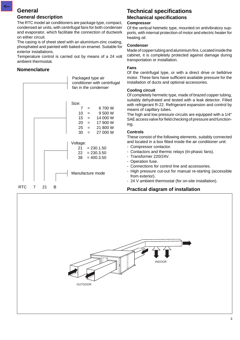# **General**

**<--**

#### **General description**

The RTC model air conditioners are package type, compact, condensed air units, with centrifugal fans for both condenser and evaporator, which facilitate the connection of ductwork on either circuit.

The casing is of sheet steel with an aluminium-zinc coating, phosphated and painted with baked-on enamel. Suitable for exterior installations.

Temperature control is carried out by means of a 24 volt ambient thermostat.

# **Nomenclature**



# **Technical specifications Mechanical specifications**

#### **Compressor**

Of the vertical hetmetic type, mounted on antivibratory supports, with internal protection of motor and electric heater for heating oil.

#### **Condenser**

Made of copper tubing and aluminium fins. Located inside the cabinet, it is completely protected against damage during transportation or installation.

#### **Fans**

Of the centrifugal type, or with a direct drive or beltdrive motor. These fans have sufficient available pressure for the installation of ducts and optional accessories.

#### **Cooling circuit**

Of completely hermetic type, made of brazed copper tubing, suitably dehydrated and tested with a leak detector. Filled with refrigerant R-22. Refrigerant expansion and control by means of capillary tubes.

The high and low pressure circuits are equipped with a 1/4" SAE access valve for field checking of pressure and functioning.

#### **Controls**

These consist of the following elements, suitably connected and located in a box fitted inside the air conditioner unit:

- Compressor contactor.
- Contactors and thermic relays (tri-phasic fans).
- Transformer 220/24V.
- Operation fuse.
- Connections for control line and accessories.
- High pressure cut-out for manual re-starting (accessible from exterior).
- 24 V ambient thermostat (for on-site installation).

# **Practical diagram of installation**

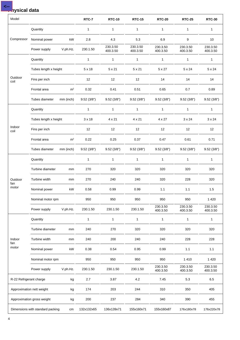# **Physical data**

**<--**

| Model                   |                                  |                | RTC-7         | <b>RTC-10</b>        | <b>RTC-15</b>        | <b>RTC-20</b>        | <b>RTC-25</b>        | <b>RTC-30</b>        |
|-------------------------|----------------------------------|----------------|---------------|----------------------|----------------------|----------------------|----------------------|----------------------|
|                         | Quantity                         |                | 1             | $\mathbf{1}$         | 1                    | $\mathbf{1}$         | 1                    | $\mathbf{1}$         |
| Compressor              | Nominal power                    | kW             | 2.8           | 4.3                  | 5.3                  | 6.9                  | 9                    | 10                   |
|                         | Power supply                     | V.ph.Hz.       | 230.1.50      | 230.3.50<br>400.3.50 | 230.3.50<br>400.3.50 | 230.3.50<br>400.3.50 | 230.3.50<br>400.3.50 | 230.3.50<br>400.3.50 |
|                         | Quantity                         |                | $\mathbf{1}$  | $\mathbf{1}$         | $\mathbf{1}$         | $\mathbf{1}$         | $\mathbf{1}$         | $\mathbf{1}$         |
|                         | Tubes length x height            |                | 5 x 18        | 5 x 21               | 5 x 21               | 5 x 27               | 5 x 24               | 5 x 24               |
| Outdoor<br>coil         | Fins per inch                    |                | 12            | $12 \overline{ }$    | 12                   | 14                   | 14                   | 14                   |
|                         | Frontal area                     | m <sup>2</sup> | 0.32          | 0.41                 | 0.51                 | 0.65                 | 0.7                  | 0.89                 |
|                         | Tubes diameter                   | mm (inch)      | 9.52(3/8")    | 9.52(3/8")           | 9.52(3/8")           | 9.52(3/8")           | 9.52(3/8")           | 9.52(3/8")           |
|                         | Quantity                         |                | 1             | $\mathbf{1}$         | $\mathbf{1}$         | $\mathbf{1}$         | 1                    | $\mathbf{1}$         |
|                         | Tubes length x height            |                | $3 \times 18$ | 4 x 21               | 4 x 21               | 4 x 27               | $3 \times 24$        | $3 \times 24$        |
| Indoor<br>coil          | Fins per inch                    |                | 12            | 12                   | 12                   | 12                   | 12                   | 12                   |
|                         | Frontal area                     | m <sup>2</sup> | 0.22          | 0.25                 | 0.37                 | 0.47                 | 0.61                 | 0.71                 |
|                         | Tubes diameter                   | mm (inch)      | 9.52(3/8")    | 9.52(3/8")           | 9.52(3/8")           | 9.52(3/8")           | 9.52(3/8")           | 9.52(3/8")           |
|                         | Quantity                         |                | $\mathbf{1}$  | $\mathbf{1}$         | $\mathbf{1}$         | $\mathbf{1}$         | $\mathbf{1}$         | $\mathbf{1}$         |
|                         | Turbine diameter                 | mm             | 270           | 320                  | 320                  | 320                  | 320                  | 320                  |
| Outdoor<br>fan          | Turbine width                    | mm             | 270           | 240                  | 240                  | 320                  | 228                  | 320                  |
| motor                   | Nominal power                    | kW             | 0.58          | 0.99                 | 0.99                 | 1.1                  | 1.1                  | 1.5                  |
|                         | Nominal motor rpm                |                | 950           | 950                  | 950                  | 950                  | 950                  | 1 4 2 0              |
|                         | Power supply                     | V.ph.Hz.       | 230.1.50      | 230.1.50             | 230.1.50             | 230.3.50<br>400.3.50 | 230.3.50<br>400.3.50 | 230.3.50<br>400.3.50 |
|                         | Quantity                         |                | 1             | 1                    | 1                    | $\mathbf{1}$         | $\mathbf{1}$         | 1                    |
|                         | Turbine diameter                 | mm             | 240           | 270                  | 320                  | 320                  | 320                  | 320                  |
| Indoor<br>fan           | Turbine width                    | mm             | 240           | 200                  | 240                  | 240                  | 228                  | 228                  |
| motor                   | Nominal power                    | kW             | 0.38          | 0.54                 | 0.95                 | 0.99                 | $1.1$                | 1.1                  |
|                         | Nominal motor rpm                |                | 950           | 950                  | 950                  | 950                  | 1410                 | 1 4 2 0              |
|                         | Power supply                     | V.ph.Hz.       | 230.1.50      | 230.1.50             | 230.1.50             | 230.3.50<br>400.3.50 | 230.3.50<br>400.3.50 | 230.3.50<br>400.3.50 |
| R-22 Refrigerant charge |                                  | kg             | 2.7           | 3.87                 | 4.2                  | 7.45                 | 5.3                  | $6.5\,$              |
|                         | Approximation nett weight        | kg             | 174           | 203                  | 244                  | 310                  | 350                  | 405                  |
|                         | Approximation gross weight       | kg             | 200           | 237                  | 284                  | 340                  | 390                  | 455                  |
|                         | Dimensions with standard packing | cm             | 132x132x65    | 136x139x71           | 155x160x71           | 155x160x87           | 176x180x78           | 176x220x78           |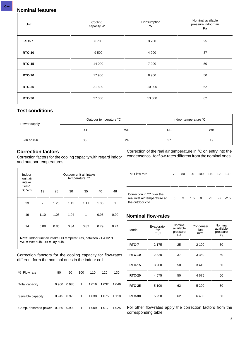| Unit          | Cooling<br>capacity W | Consumption<br>W | Nominal available<br>pressure indoor fan<br>Pa |
|---------------|-----------------------|------------------|------------------------------------------------|
| RTC-7         | 6700                  | 3700             | 25                                             |
| <b>RTC-10</b> | 9 5 0 0               | 4 9 0 0          | 37                                             |
| <b>RTC-15</b> | 14 000                | 7 0 0 0          | 50                                             |
| <b>RTC-20</b> | 17 900                | 8 9 0 0          | 50                                             |
| <b>RTC-25</b> | 21 800                | 10 000           | 62                                             |
| <b>RTC-30</b> | 27 000                | 13 000           | 62                                             |

# **Test conditions**

| Power supply | Outdoor temperature °C |           |    | Indoor temperature °C |
|--------------|------------------------|-----------|----|-----------------------|
|              | DB                     | <b>WB</b> | DB | <b>WB</b>             |
| 230 or 400   | 35                     | 24        | 27 | 19                    |

# **Correction factors**

 $\mathbf{r}$ 

Correction factors for the cooling capacity with regard indoor and outdoor temperatures.

| Indoor<br>unit air<br>intake | Outdoor unit air intake<br>temperature °C |      |      |      |      |      |  |  |
|------------------------------|-------------------------------------------|------|------|------|------|------|--|--|
| Temp.<br>°C WB               | 19                                        | 25   | 30   | 35   | 40   | 46   |  |  |
| 23                           |                                           | 1.20 | 1.15 | 1.11 | 1.06 | 1    |  |  |
| 19                           | 1.10                                      | 1.08 | 1.04 | 1    | 0.96 | 0.90 |  |  |
| 14                           | 0.88                                      | 0.86 | 0.84 | 0.82 | 0.79 | 0.74 |  |  |

**Note:** Indoor unit air intake DB temperatures, between 21 & 32 °C. WB = Wet bulb. DB = Dry bulb.

Correction fanctors for the cooling capacity for flow-rates different form the nominal ones in the indoor coil.

| % Flow rate                | 80    | 90    | 100            | 110   | 120   | 130   |
|----------------------------|-------|-------|----------------|-------|-------|-------|
| Total capacity             | 0.960 | 0.980 | $1 \quad$      | 1.016 | 1.032 | 1.046 |
| Sensible capacity          | 0.945 | 0.973 | $\overline{1}$ | 1.038 | 1.075 | 1.118 |
| Comp. absorbed power 0.980 |       | 0.990 | $\overline{1}$ | 1.009 | 1.017 | 1.025 |

Correction of the real air temperature in °C on entry into the condenser coil for flow-rates different from the nominal ones.

| % Flow rate                                                                    | 70 | 80 | 90 | 100        | 110  | 120 | 130         |
|--------------------------------------------------------------------------------|----|----|----|------------|------|-----|-------------|
| Correction in °C over the<br>real inlet air temperature at<br>the outdoor coil | 5  | 3  |    | $1.5 \t 0$ | $-1$ |     | $-2$ $-2.5$ |

# **Nominal flow-rates**

| Model         | Evaporator<br>fan<br>$m^3/h$ | Nominal<br>available<br>pressure<br>Pa | Condenser<br>fan<br>$m^3/h$ | Nominal<br>available<br>pressure<br>Pa |
|---------------|------------------------------|----------------------------------------|-----------------------------|----------------------------------------|
| RTC-7         | 2 1 7 5                      | 25                                     | 2 100                       | 50                                     |
| <b>RTC-10</b> | 2820                         | 37                                     | 3 3 5 0                     | 50                                     |
| <b>RTC-15</b> | 3 9 0 0                      | 50                                     | 3410                        | 50                                     |
| <b>RTC-20</b> | 4675                         | 50                                     | 4675                        | 50                                     |
| <b>RTC-25</b> | 5 100                        | 62                                     | 5 200                       | 50                                     |
| <b>RTC-30</b> | 5950                         | 62                                     | 6400                        | 50                                     |

For other flow-rates apply the correction factors from the corresponding table.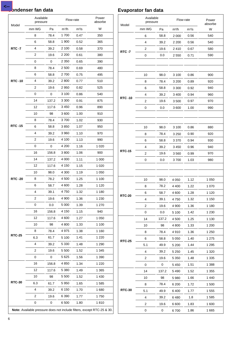**<--**

|               | Available<br>pressure |       |                    | Flow-rate | Power<br>absorbe |
|---------------|-----------------------|-------|--------------------|-----------|------------------|
| Model         | mm WG                 | Pa    | $m^3/h$            | $m^3/s$   | W                |
|               | 8                     | 78.4  | 1700               | 0.47      | 350              |
|               | 6                     | 58.8  | 1900               | 0.52      | 365              |
| <b>RTC -7</b> | 4                     | 39.2  | 2 100              | 0.58      | 370              |
|               | 2                     | 19.6  | 2 2 0 0            | 0.61      | 380              |
|               | 0                     | 0     | 2 3 5 0            | 0.65      | 390              |
|               | 8                     | 78.4  | 2 500              | 0.69      | 480              |
|               | 6                     | 58.8  | 2700               | 0.75      | 495              |
| <b>RTC-10</b> | 4                     | 39.2  | 2800               | 0.77      | 510              |
|               | 2                     | 19.6  | 2950               | 0.82      | 525              |
|               | 0                     | 0     | 3 100              | 0.86      | 540              |
|               | 14                    | 137.2 | 3 3 0 0            | 0.91      | 875              |
|               | 12                    | 117.6 | 3450               | 0.96      | 890              |
|               | 10                    | 98    | 3600               | 1.00      | 910              |
|               | 8                     | 78.4  | 3700               | 1.02      | 930              |
| <b>RTC-15</b> | 6                     | 58.8  | 3850               | 1.07      | 950              |
|               | 4                     | 39.2  | 3960               | 1.10      | 970              |
|               | 2                     | 19.6  | 4 100              | 1.13      | 990              |
|               | 0                     | 0     | 4 200              | 1.16      | 1 0 2 0          |
|               | 16                    | 156.8 | 3800               | 1.06      | 900              |
|               | 14                    | 137.2 | 4 0 0 0            | 1.11      | 1 000            |
|               | 12                    | 117.6 | 4 150              | 1.15      | 1 0 2 0          |
|               | 10                    | 98.0  | 4 300              | 1.19      | 1 050            |
| <b>RTC-20</b> | 8                     | 78.2  | 4 500              | 1.25      | 1 100            |
|               | 6                     | 58.7  | 4 600              | 1.28      | 1 1 2 0          |
|               | 4                     | 39.1  | 4750               | 1.32      | 1 1 8 0          |
|               | 2                     |       | 4 9 0 0            |           |                  |
|               | 0                     | 19.6  |                    | 1.36      | 1 2 3 0          |
|               | 16                    | 0.0   | 5 0 0 0<br>4 1 5 0 | 1.39      | 1 270            |
|               |                       | 156.8 |                    | 1.15      | 940              |
|               | 12                    | 117.6 | 4 600              | 1.27      | 1 0 5 0          |
|               | 10                    | 98    | 4 800              | 1.33      | 1 100            |
| <b>RTC-25</b> | 8                     | 78.4  | 4975               | 1.38      | 1 160            |
|               | 6.3                   | 61.7  | 5 100              | 1.41      | 1 2 2 0          |
|               | 4                     | 39.2  | 5 3 3 0            | 1.48      | 1 2 9 0          |
|               | 2                     | 19.6  | 5 5 0 0            | 1.52      | 1 345            |
|               | 0                     | 0     | 5625               | 1.56      | 1 3 9 0          |
|               | 16                    | 156.8 | 4850               | 1.34      | 1 2 2 0          |
|               | 12                    | 117.6 | 5 3 8 0            | 1.49      | 1 3 6 5          |
|               | 10                    | 98    | 5 5 0 0            | 1.52      | 1 4 3 0          |
| <b>RTC-30</b> | 6.3                   | 61.7  | 5950               | 1.65      | 1 585            |
|               | 4                     | 39.2  | 6 150              | 1.70      | 1680             |
|               | 2                     | 19.6  | 6 3 9 0            | 1.77      | 1750             |
|               | 0                     | 0     | 6500               | 1.80      | 1810             |

# **Condenser fan data Evaporator fan data**

| Model         | Available<br>pressure   |       |         | Flow-rate<br>Power<br>absorbe |         |  |
|---------------|-------------------------|-------|---------|-------------------------------|---------|--|
|               | mm WG                   | Pa    | $m^3/h$ | $m^3/s$                       | W       |  |
|               | 6                       | 58.8  | 2 0 0 0 | 0.56                          | 540     |  |
|               | 4                       | 39.2  | 2 2 0 0 | 0.56                          | 540     |  |
|               | 2                       | 19.6  | 2410    | 0.67                          | 580     |  |
| <b>RTC-7</b>  | 0                       | 0.0   | 2550    | 0.71                          | 590     |  |
|               |                         |       |         |                               |         |  |
|               |                         |       |         |                               |         |  |
|               | 10                      | 98.0  | 3 100   | 0.86                          | 900     |  |
|               | 8                       | 78.4  | 3 200   | 0.89                          | 920     |  |
|               | 6                       | 58.8  | 3 3 0 0 | 0.92                          | 940     |  |
|               | 4                       | 39.2  | 3 4 0 0 | 0.94                          | 960     |  |
| <b>RTC-10</b> | 2                       | 19.6  | 3500    | 0.97                          | 970     |  |
|               | 0                       | 0.0   | 3600    | 1.00                          | 990     |  |
|               |                         |       |         |                               |         |  |
|               |                         |       |         |                               |         |  |
|               | 10                      | 98.0  | 3 100   | 0.86                          | 880     |  |
|               | 8                       | 78.4  | 3 2 5 0 | 0.90                          | 920     |  |
|               | 6                       | 58.8  | 3 3 7 0 | 0.94                          | 930     |  |
|               | 4                       | 39.2  | 3450    | 0.96                          | 940     |  |
| <b>RTC-15</b> | 2                       | 19.6  | 3560    | 0.99                          | 970     |  |
|               | 0                       | 0.0   | 3700    | 1.03                          | 980     |  |
|               |                         |       |         |                               |         |  |
|               |                         |       |         |                               |         |  |
|               | 10                      | 98.0  | 4 0 5 0 | 1.12                          | 1 0 5 0 |  |
|               | 8                       | 78.2  | 4 400   | 1.22                          | 1070    |  |
| <b>RTC-20</b> | 6                       | 58.7  | 4600    | 1.28                          | 1 1 2 0 |  |
|               | 4                       | 39.1  | 4750    | 1.32                          | 1 150   |  |
|               | $\overline{\mathbf{c}}$ | 19.6  | 4 9 0 0 | 1.36                          | 1 1 8 0 |  |
|               | 0                       | 0.0   | 5 100   | 1.42                          | 1 2 3 0 |  |
|               | 14                      | 137.2 | 4 500   | 1.25                          | 1 1 3 0 |  |
|               | 10                      | 98    | 4 800   | 1.33                          | 1 200   |  |
|               | 8                       | 78.4  | 4910    | 1.36                          | 1 250   |  |
| <b>RTC-25</b> | 6                       | 58.8  | 5 0 5 0 | 1.40                          | 1 2 7 5 |  |
|               | 5.1                     | 49.9  | 5 200   | 1.44                          | 1 2 9 5 |  |
|               | 4                       | 39.2  | 5 2 5 0 | 1.45                          | 1 3 2 0 |  |
|               | 2                       | 19.6  | 5 3 5 0 | 1.48                          | 1 3 3 5 |  |
|               | 0                       | 0     | 5 4 5 0 | 1.51                          | 1 388   |  |
|               | 14                      | 137.2 | 5490    | 1.52                          | 1 3 5 5 |  |
|               | 10                      | 98    | 5980    | 1.66                          | 1 4 4 0 |  |
|               | 8                       | 78.4  | 6 200   | 1.72                          | 1500    |  |
| <b>RTC-30</b> | 5.1                     | 49.9  | 6400    | 1.77                          | 1 555   |  |
|               | 4                       | 39.2  | 6480    | 1.8                           | 1585    |  |
|               | 2                       | 19.6  | 6 600   | 1.83                          | 1600    |  |
|               | 0                       | 0     | 6700    | 1.86                          | 1665    |  |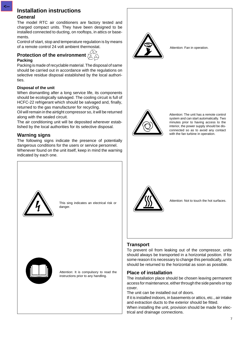### **General**

The model RTC air conditioners are factory tested and charged compact units. They have been designed to be installed connected to ducting, on rooftops, in attics or basements.

Control of start, stop and temperature regulation is by means of a remote control 24 volt ambient thermostat.

# **Protection of the environment**  $\sum_{i=1}^{n}$ **Packing**



#### **Disposal of the unit**

When dismantling after a long service life, its components should be ecologically salvaged. The cooling circuit is full of HCFC-22 refrigerant which should be salvaged and, finally, returned to the gas manufacturer for recycling.

Oil will remain in the airtight compressor so, it will be returned along with the sealed circuit.

The air conditioning unit will be deposited wherever established by the local authorities for its selective disposal.

# **Warning signs**

The following signs indicate the presence of potentially dangerous conditions for the users or service personnel. Whenever found on the unit itself, keep in mind the warning indicated by each one.



This sing indicates an electrical risk or danger.



Attention: It is compulsory to read the instructions prior to any handling.



Attention: Fan in operation.



Attention: The unit has a remote control system and can start automatically. Two minutes prior to having access to the interior, the power supply should be disconnected so as to avoid any contact with the fan turbine in operation.



Attention: Not to touch the hot surfaces.

# **Transport**

To prevent oil from leaking out of the compressor, units should always be transported in a horizontal position. If for some reason it is necessary to change this periodically, units should be returned to the horizontal as soon as possible.

# **Place of installation**

The installation place should be chosen leaving permanent access for maintenance, either through the side panels or top cover.

The unit can be installed out of doors.

If it is installed indoors, in basements or attics, etc., air intake and extraction ducts to the exterior should be fitted.

When installing the unit, provision should be made for electrical and drainage connections.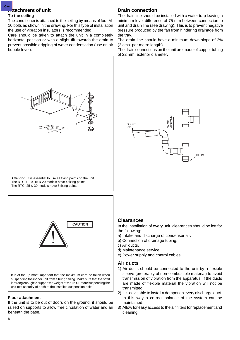# **Attachment of unit**

#### **To the ceiling**

The conditioner is attached to the ceiling by means of four M-10 bolts as shown in the drawing. For this type of installation the use of vibration insulators is recommended.

Care should be taken to attach the unit in a completely horizontal position or with a slight tilt towards the drain to prevent possible dripping of water condensation (use an air bubble level).



It is of the up most important that the maximum care be taken when suspending the indoor unit from a hung ceiling. Make sure that the soffit is strong enough to support the weight of the unit. Before suspending the unit test security of each of the installed suspension bolts.

# **Floor attachment**

If the unit is to be out of doors on the ground, it should be raised on supports to allow free circulation of water and air beneath the base.

# **Drain connection**

The drain line should be installed with a water trap leaving a minimum level difference of 75 mm between connection to unit and drain line (see drawing). This is to prevent negative pressure produced by the fan from hindering drainage from the tray.

The drain line should have a minimum down-slope of 2% (2 cms. per metre length).

The drain connections on the unit are made of copper tubing of 22 mm. exterior diameter.



#### **Clearances**

In the installation of every unit, clearances should be left for the following:

- a) Intake and discharge of condenser air.
- b) Connection of drainage tubing.
- c) Air ducts.
- d) Maintenance service.
- e) Power supply and control cables.

#### **Air ducts**

- 1) Air ducts should be connected to the unit by a flexible sleeve (preferably of non-combustible material) to avoid transmission of vibration from the apparatus. If the ducts are made of flexible material the vibration will not be transmitted.
- 2) It is advisable to install a damper on every discharge duct. In this way a correct balance of the system can be maintained.
- 3) Allow for easy access to the air filters for replacement and cleaning.

**<--**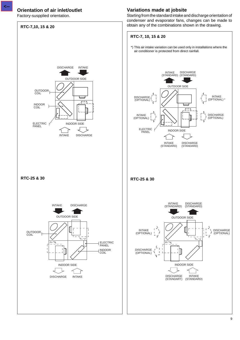# **Orientation of air inlet/outlet**

Factory-suspplied orientation.

**<--**



# **Variations made at jobsite**

Starting from the standard intake and discharge orientation of condenser and evaporator fans, changes can be made to obtain any of the combinations shown in the drawing.

# 9

DISCHARGE (OPTIONAL)

тT  $\overline{V}$ 

INTAKE (OPTIONAL) \*

DISCHARGE (OPTIONAL)

INTAKE (STANDARD)

DISCHARGE (STANDARD)

 $\sqrt{ }$ 

 $\overline{\Xi}$ É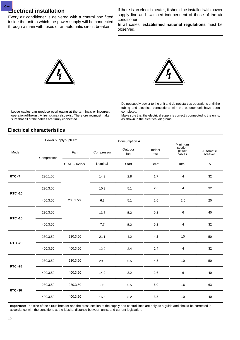#### **Electrical installation <--**

Every air conditioner is delivered with a control box fitted inside the unit to which the power supply will be connected through a main with fuses or an automatic circuit breaker.

If there is an electric heater, it should be installed with power supply line and switched independent of those of the air conditioner.

In all cases, **established national regulations** must be observed.



# **Electrical characteristics**



tubing and electrical connections with the outdoor unit have been completed.

Make sure that the electrical supply is correctly connected to the units, as shown in the electrical diagrams.

|                |            | Power supply V.ph.Hz. |            | Consumption A  |               | Minimum                    |                      |
|----------------|------------|-----------------------|------------|----------------|---------------|----------------------------|----------------------|
| Model          | Compressor | Fan                   | Compressor | Outdoor<br>fan | Indoor<br>fan | section<br>power<br>cables | Automatic<br>breaker |
|                |            | Outd. - Indoor        | Nominal    | Start          | Start         | mm <sup>2</sup>            | $\mathsf{A}$         |
| <b>RTC -7</b>  | 230.1.50   |                       | 14.3       | $2.8\,$        | 1.7           | $\overline{\mathbf{4}}$    | 32                   |
| <b>RTC-10</b>  | 230.3.50   |                       | 10.9       | 5.1            | 2.6           | 4                          | 32                   |
|                | 400.3.50   | 230.1.50              | 6.3        | 5.1            | 2.6           | 2.5                        | 20                   |
| <b>RTC-15</b>  | 230.3.50   |                       | 13.3       | $5.2\,$        | $5.2\,$       | 6                          | 40                   |
|                | 400.3.50   |                       | 7.7        | $5.2\,$        | $5.2\,$       | 4                          | 32                   |
|                | 230.3.50   | 230.3.50              | 21.1       | 4.2            | 4.2           | 10                         | 50                   |
| <b>RTC -20</b> | 400.3.50   | 400.3.50              | 12.2       | 2.4            | 2.4           | 4                          | 32                   |
| <b>RTC -25</b> | 230.3.50   | 230.3.50              | 29.3       | 5.5            | 4.5           | 10                         | 50                   |
|                | 400.3.50   | 400.3.50              | 14.2       | $3.2\,$        | 2.6           | 6                          | 40                   |
| <b>RTC-30</b>  | 230.3.50   | 230.3.50              | 36         | 5.5            | $6.0\,$       | 16                         | 63                   |
|                | 400.3.50   | 400.3.50              | 16.5       | $3.2\,$        | $3.5\,$       | 10                         | 40                   |

**Important:** The size of the circuit breaker and the cross-section of the supply and control lines are only as a guide and should be corrected in accordance with the conditions at the jobsite, distance between units, and current legislation.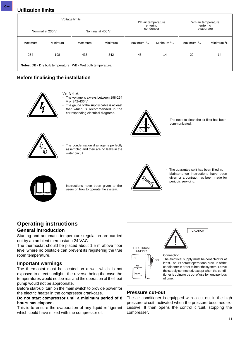**Utilization limits**

|         | Voltage limits                                              |         |                  |                          | DB air temperature<br>entering |            | WB air temperature<br>entering |  |
|---------|-------------------------------------------------------------|---------|------------------|--------------------------|--------------------------------|------------|--------------------------------|--|
|         | Nominal at 230 V                                            |         | Nominal at 400 V | condenser                |                                |            | evaporator                     |  |
| Maximum | Minimum                                                     | Maximum | Minimum          | Maximum °C<br>Minimum °C |                                | Maximum °C | Minimum °C                     |  |
| 254     | 198                                                         | 436     | 342              | 46                       | 14                             |            | 14                             |  |
|         | Notes: DB - Dry bulb temperature WB - Wet bulb temperature. |         |                  |                          |                                |            |                                |  |

# **Before finalising the installation**



**Verify that:**

The voltage is always between 198-254 V or 342-436 V.

The gauge of the supply cable is at least that which is recommended in the corresponding electrical diagrams.



The need to clean the air filter has been communicated.



The condensation drainage is perfectly assembled and their are no leaks in the water circuit.



Instructions have been given to the users on how to operate the system.



The guarantee split has been filled in. Maintenance instructions have been given or a contract has been made for periodic servicing.

# **Operating instructions General introduction**

Starting and automatic temperature regulation are carried out by an ambient thermostat a 24 VAC.

The thermostat should be placed about 1.5 m above floor level where no obstacle can prevent its registering the true room temperature.

#### **Important warnings**

The thermostat must be located on a wall which is not exposed to direct sunlight, the reverse being the case the temperatures would not be real and the operation of the heat pump would not be appropriate.

Before start-up, turn on the main switch to provide power for the electric heater in the compressor crankcase.

#### **Do not start compressor until a minimum period of 8 hours has elapsed.**

This is to ensure the evaporation of any liquid refrigerant which could have mixed with the compressor oil.



# **Pressure cut-out**

The air conditioner is equipped with a cut-out in the high pressure circuit, activated when the pressure becomes excessive. It then opens the control circuit, stopping the compresser.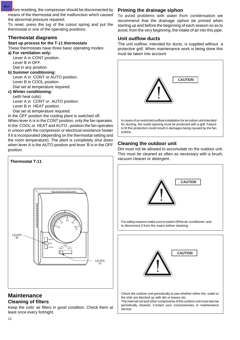fore resetting, the compresser should be disconnected by means of the thermostat and the malfunction which caused the abnormal pressure repaired.

To reset, press the lug of the cutout spring and put the thermostat in one of the operating positions.

# **Thermostat diagrams**

#### **Start up process for the T-11 thermostats**

These thermostats have three basic operating modes:

**a) For ventilation only:** Lever A in CONT position. Lever B in OFF. Dial in any position.

#### **b) Summer conditioning:**

Lever A in CONT or AUTO position. Lever B in COOL position. Dial set at temperature required.

#### **c) Winter conditioning:**

(with heat coils)

Lever A in CONT or AUTO position.

Lever B in HEAT position.

Dial set at temperature required.

In the OFF position the cooling plant is switched off.

When lever A is in the CONT position, only the fan operates. In the COOL or HEAT and AUTO , position the fan operates in unison with the compressor or electrical resistance heater if it is incorporated (depending on the thermostat setting and the room temperature). The plant is completely shut down when lever A is the AUTO position and lever 'B is in the OFF position.



# **Maintenance Cleaning of filters**

12

Keep the coils' air filters in good condition. Check them at least once every fortnight.

# **Priming the drainage siphon**

To avoid problems with water from condensation we recommend that the drainage siphon be primed when starting up and before the beginning of each season so as to avoid, from the very beginning, the intake of air into this pipe.

## **Unit outflow ducts**

The unit outflow, intended for ducts, is supplied without a protective grill. When maintenance work is being done this must be taken into account.



# **Cleaning the outdoor unit**

Dirt must not be allowed to accumulate on the outdoor unit. This must be cleaned as often as necessary with a brush,



Check the outdoor unit periodically to see whether either the outlet or the inlet are blocked up with dirt or leaves etc.

The internal coil and other components of the outdoor unit must also be periodically cleaned. Contact your concessionary or maintenance service.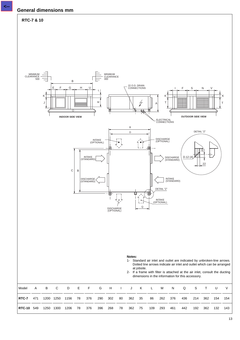

**<--**

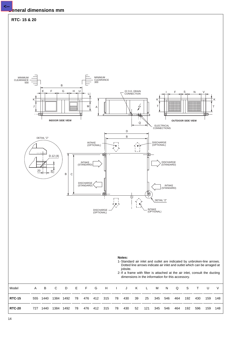# **General dimensions mm**

**<--**



14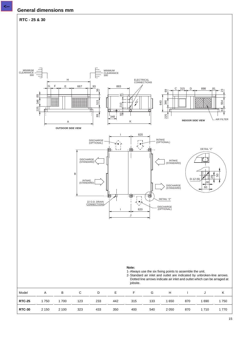

2- Standard air inlet and outlet are indicated by unbroken-line arrows. Dotted line arrows indicate air inlet and outlet which can be arraged at jobsite.

| Model         | A       | B     | $\overline{C}$ | D   | E.  | <b>Example 19</b> | G   |      | $H$ $I$ $J$ |         |      |
|---------------|---------|-------|----------------|-----|-----|-------------------|-----|------|-------------|---------|------|
| <b>RTC-25</b> | 1750    | 1700  | 123            | 233 | 442 | 315               | 133 | 1650 | 870         | 1690    | 1750 |
| <b>RTC-30</b> | 2 1 5 0 | 2 100 | 323            | 433 | 350 | 400               | 540 | 2050 | 870         | 1 7 1 0 | 1770 |

554

 $\begin{array}{|c|c|c|}\n\hline\n\text{AB} & \text{BA} \\
\hline\n\text{AB} & \text{BA} \\
\hline\n\end{array}$ 

ក $\overline{\mathbb{S}}$ 

ని

50

.<br>। २८

60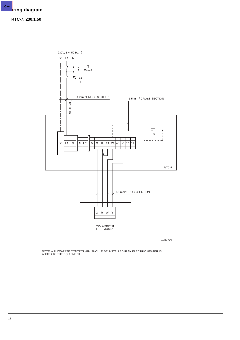#### **RTC-7, 230.1.50**

230V, 1 ~, 50 Hz,  $\frac{+}{-}$  $\frac{1}{\pi}$ L1 N Q  $\mathbf{I}$ 30 m A  $\frac{32}{32}$ A 4 mm 2 CROSS SECTION 1.5 mm 2 CROSS SECTION **NEUTRAL** NEUTRAL 近手 ⊣ f F9  $\overline{a}$  $\frac{1}{\pi}$ L1 | N || N |L01|| B | G | R |R1 | W |W1| Y |10 |12 RTC-7 1.5  $mm<sup>2</sup>$  CROSS SECTION  $G | R | W | Y$ 24V AMBIENT THERMOSTAT I-1080-0/e NOTE: A FLOW-RATE CONTROL (F9) SHOULD BE INSTALLED IF AN ELECTRIC HEATER IS ADDED TO THE EQUIPMENT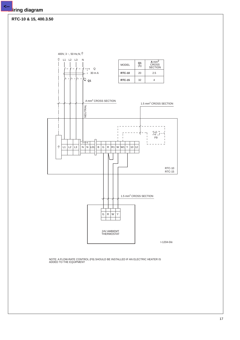#### **RTC-10 & 15, 400.3.50**

400V, 3 ~, 50 Hz, N,  $\frac{+}{-}$  $\frac{1}{2}$  L1 L2 L3 N  $\frac{Q1}{(A)}$ A mm<sup>2</sup><br>CROSS<br>SECTION MODEL **Q1**  $\overline{\phantom{a}}$  $\overline{\phantom{a}}$  $\overline{\phantom{a}}$  $\overrightarrow{1}$  Q  $\overline{a}$  $\overline{a}$  $\overline{a}$  $\begin{array}{c} 1 \\ 30 \text{ m A} \end{array}$ **RTC-10** 20 2.5 K2 Q1 **RTC-15** 32 4 A mm2 CROSS SECTION 1.5 mm<sup>2</sup> CROSS SECTION **NEUTRAL** NEUTRAL  $\begin{bmatrix} \begin{matrix} 1 & 1 \\ 1 & 1 \end{matrix} & \begin{matrix} 1 & 1 \\ 1 & 1 \end{matrix} & \begin{matrix} 1 & 1 \\ 1 & 1 \end{matrix} & \begin{matrix} 1 & 1 \\ 1 & 1 \end{matrix} & \begin{matrix} 1 & 1 \\ 1 & 1 \end{matrix} & \begin{matrix} 1 & 1 \\ 1 & 1 \end{matrix} & \begin{matrix} 1 & 1 \\ 1 & 1 \end{matrix} & \begin{matrix} 1 & 1 \\ 1 & 1 \end{matrix} & \begin{matrix} 1 & 1 \\ 1 & 1 \end{matrix} & \begin{matrix} 1 & 1 \\ 1 & 1$  $\overline{\mathcal{X}}$ F9  $\overline{+}$  $\overline{\phantom{0}}$  $\frac{1}{\pi}$  $\lfloor$  L3  $\lfloor$  N  $\rfloor$  N  $\lfloor$  L01 $\rfloor$  B  $\lfloor$  G  $\lfloor$  R  $\lfloor$  R1  $\rfloor$  W  $\lfloor$  W1 $\rfloor$  Y  $\lfloor$  10  $\lfloor$  12  $L1$   $L2$ RTC-10 RTC-15 1.5 mm<sup>2</sup> CROSS SECTION  $G R W Y$ 24V AMBIEMT THERMOSTAT I-1204-0/e

NOTE: A FLOW-RATE CONTROL (F9) SHOULD BE INSTALLED IF AN ELECTRIC HEATER IS ADDED TO THE EQUIPMENT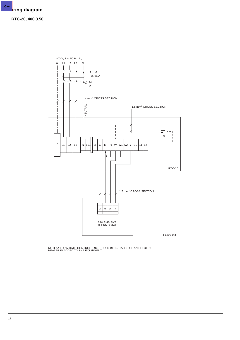**<--**



NOTE: A FLOW-RATE CONTROL (F9) SHOULD BE INSTALLED IF AN ELECTRIC HEATER IS ADDED TO THE EQUIPMENT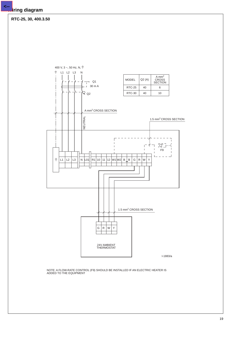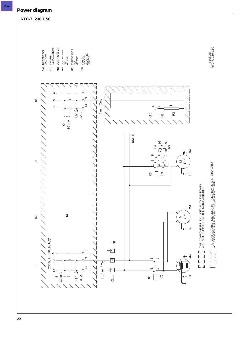#### **RTC-7, 230. 1.50**

**DM:** TO CONTROL M1: COMPRESSOR TO CONTROL DIAGRAM JOBSITE INSTALLATION COMPRESSOR CONDENSER FAN MOTOR EVAPORATOR FAN MOTOR 5 kW, 1~ INDOOR HEATER ELECTRIC



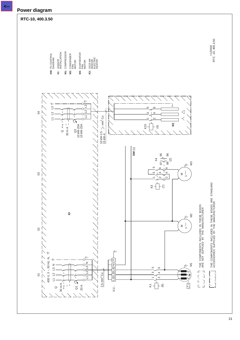#### **RTC-10, 400.3.50**

1-1204/d<br>RTC -10, 400.3.50 RTC -10, 400.3.50

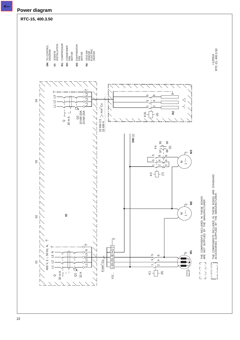

#### **RTC-15, 400.3.50**

TO CONTROL DIAGRAM

**DM: TO CONTROL IO: M1: COMPRESSOR M2: M3: R2:** JOBSITE INSTALLATION COMPRESSOR CONDENSER FAN MOTOR EVAPORATOR FAN MOTOR 10/15 kW INDOOR HEATER

ELECTRIC



1-1205/d<br>RTC-15, 400.3.50 RTC-15, 400.3.50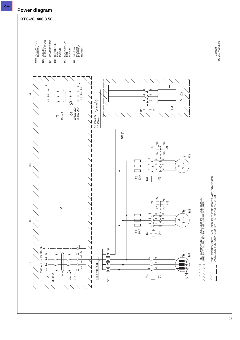# **RTC-20, 400.3.50**

l-1206/e<br>RTC-20, 400.3.50 RTC-20, 400.3.50

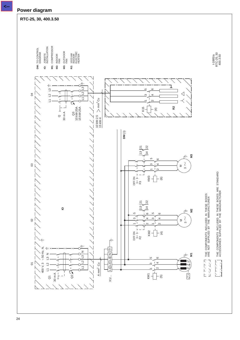#### **RTC-25, 30, 400.3.50**

**DM: TO CONTROL** M1: COMPRESSOR **M2: M3:** TO CONTROL DIAGRAM JOBSITE INSTALLATION COMPRESSOR NDOOR<br>FAN OUTDOOR Z<br>F 10/15 kW INDOOR HEATER ELECTRIC



I-1885/a 400.3.50 RTC-25, 30

ACCESSORIES SUPPLIED BY THE MANUFACTURER

12111.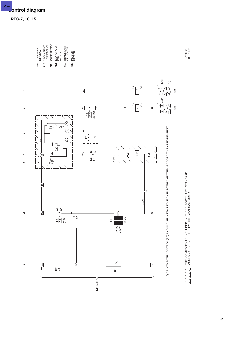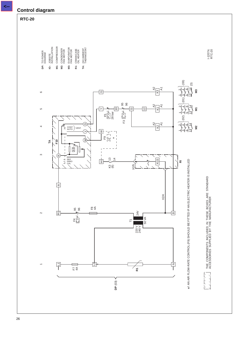# **Control diagram**

# **RTC-20**

**<--**

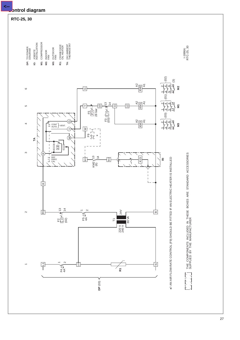

27

# **Control diagram**

**<--**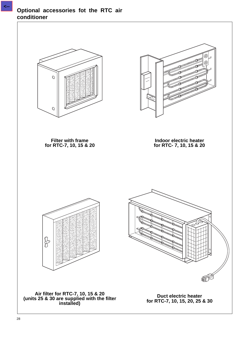# **Optional accessories fot the RTC air conditioner**

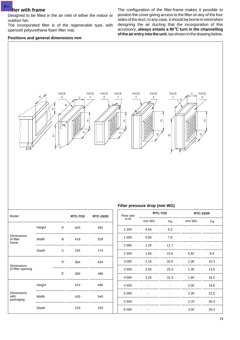#### **Filter with frame**

**<--**

Designed to be filted in the air inlet of either the indoor or outdoor fan.

The incorporated filter is of the regenerable type, with opencell polyurethane foam filter mat.

#### **Positions and general dimensions mm**

The configuration of the filter-frame makes it possible to position the cover giving access to the filter on any of the four sides of the duct. In any case, it should be borne in mind when designing the air ducting that the incorporation of this accessory, **always entails a 90**°**C turn in the channelling of the air entry into the unit**, tas shown in the drawing below.



| Model                                   |        |   | <b>RTC-7/10</b> | <b>RTC-15/20</b> |
|-----------------------------------------|--------|---|-----------------|------------------|
|                                         | Height | A | 403             | 482              |
| <b>Dimensions</b><br>of filter<br>frame | Width  | B | 419             | 528              |
|                                         | Depth  | C | 164             | 174              |
| <b>Dimensions</b>                       |        | D | 364             | 434              |
| of filter opening                       |        | E | 380             | 480              |
|                                         | Height |   | 413             | 490              |
| <b>Dimensions</b><br>with<br>packaging  | Width  |   | 430             | 540              |
|                                         | Depth  |   | 210             | 220              |

#### **Filter pressure drop (mm WG)**

| Flow rate |              | <b>RTC-7/10</b> | RTC-15/20 |      |  |
|-----------|--------------|-----------------|-----------|------|--|
| $m^3/h$   | mm WG        | Pa              | mm WG     | Pa   |  |
| 1 300     | 0.64         | 6.2             |           |      |  |
| 1 500     | 0.80<br>7.8  |                 |           |      |  |
| 2 0 0 0   | 1.20         | 11.7            |           |      |  |
| 2 500     | 1.60         | 15.6            | 0.82      | 8.0  |  |
| 3 0 0 0   | 2.10         | 20.5            | 1.06      | 10.3 |  |
| 3500      | 2.60<br>25.4 |                 | 1.35      | 13.0 |  |
| 4 0 0 0   | 3.20         | 31.3            | 1.65      | 16.0 |  |
| 4 500     |              |                 | 2.00      | 19.6 |  |
| 5 0 0 0   |              |                 | 2.30      | 22.5 |  |
| 5 500     |              |                 | 2.70      | 26.4 |  |
| 6 0 0 0   |              |                 | 3.00      | 29.4 |  |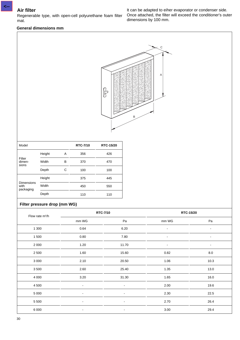**<--**

### Regenerable type, with open-cell polyurethane foam filter mat.

#### **General dimensions mm**

It can be adapted to eiher evaporator or condenser side. Once attached, the filter will exceed the conditioner's outer dimensions by 100 mm.



| Model                                  |        |   | <b>RTC-7/10</b> | <b>RTC-15/20</b> |  |
|----------------------------------------|--------|---|-----------------|------------------|--|
|                                        | Height | Α | 356             | 426              |  |
| Filter<br>dimen-<br>sions              | Width  | В | 370             | 470              |  |
|                                        | Depth  | С | 100             | 100              |  |
|                                        | Height |   | 375             | 445              |  |
| <b>Dimensions</b><br>with<br>packaging | Width  |   | 450             | 550              |  |
|                                        | Depth  |   | 110             | 110              |  |

#### **Filter pressure drop (mm WG)**

| Flow rate m <sup>3</sup> /h |                | RTC-7/10       | RTC-15/20                |                              |  |
|-----------------------------|----------------|----------------|--------------------------|------------------------------|--|
|                             | mm WG          | Pa             | mm WG                    | Pa                           |  |
| 1 300                       | 0.64           | 6.20           | $\overline{\phantom{a}}$ | $\overline{\phantom{a}}$     |  |
| 1 500                       | 0.80           | 7.80           |                          | $\overline{a}$               |  |
| 2 0 0 0                     | 1.20           | 11.70          | -                        | $\qquad \qquad \blacksquare$ |  |
| 2 500                       | 1.60           | 15.60          | 0.82                     | 8.0                          |  |
| 3 0 0 0                     | 2.10           | 20.50          | 1.06                     | 10.3                         |  |
| 3500                        | 2.60           | 25.40          | 1.35                     | 13.0                         |  |
| 4 0 0 0                     | 3.20           | 31.30          | 1.65                     | 16.0                         |  |
| 4 5 0 0                     | $\blacksquare$ | $\blacksquare$ | 2.00                     | 19.6                         |  |
| 5 0 0 0                     | $\blacksquare$ | $\blacksquare$ | 2.30                     | 22.5                         |  |
| 5 5 0 0                     | $\blacksquare$ | $\blacksquare$ | 2.70                     | 26.4                         |  |
| 6 0 0 0                     | $\blacksquare$ | $\blacksquare$ | 3.00                     | 29.4                         |  |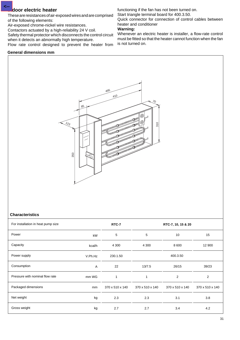#### **Indoor electric heater**

**<--**

These are resistances of air-exposed wires and are comprised of the following elements:

Air-exposed chrome-nickel wire resistances.

Contactors actuated by a high-reliability 24 V coil.

Safety thermal protector which disconnects the control circuit when it detects an abnormally high temperature.

Flow rate control designed to prevent the heater from

#### **General dimensions mm**

functioning if the fan has not been turned on.

Start triangle terminal board for 400.3.50.

Quick connector for connection of control cables between heater and conditioner

#### **Warning:**

Whenever an electric heater is installer, a flow-rate control must be fitted so that the heater cannot function when the fan is not turned on.



#### **Characteristics**

| For installation in heat pump size | RTC-7   | RTC-7, 10, 15 & 20 |                 |                 |                 |
|------------------------------------|---------|--------------------|-----------------|-----------------|-----------------|
| Power                              | kW      | 5                  | 5               | 10              | 15              |
| Capacity                           | kcal/h  | 4 3 0 0            | 4 3 0 0         | 8 600           | 12 900          |
| Power supply                       | V.Ph.Hz | 230.1.50           |                 | 400.3.50        |                 |
| Consumption                        | Α       | 22                 | 13/7.5          | 26/15           | 39/23           |
| Pressure with nominal flow rate    | mm WG   | 1                  | 1               | 2               | $\overline{2}$  |
| Packaged dimensions                | mm      | 370 x 510 x 140    | 370 x 510 x 140 | 370 x 510 x 140 | 370 x 510 x 140 |
| Net weight                         | kg      | 2.3                | 2.3             | 3.1             | 3.8             |
| Gross weight                       | kg      | 2.7                | 2.7             | 3.4             | 4.2             |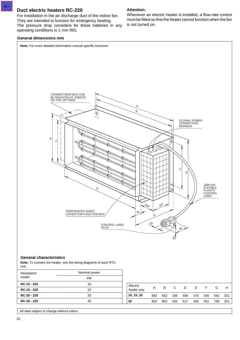#### **Duct electric heaters RC-220**

For installation in the air discharge duct of the indoor fan. They are intended to function for emergency heating. The pressure drop considere for these batteries in any operating conditions is 1 mm WG.

#### **General dimensions mm**

**Attention:**

Whenever an electric heater is installed, a flow-rate control must be fitted so that the heater cannot function when the fan is not turned on.



All data subject to change without notice.